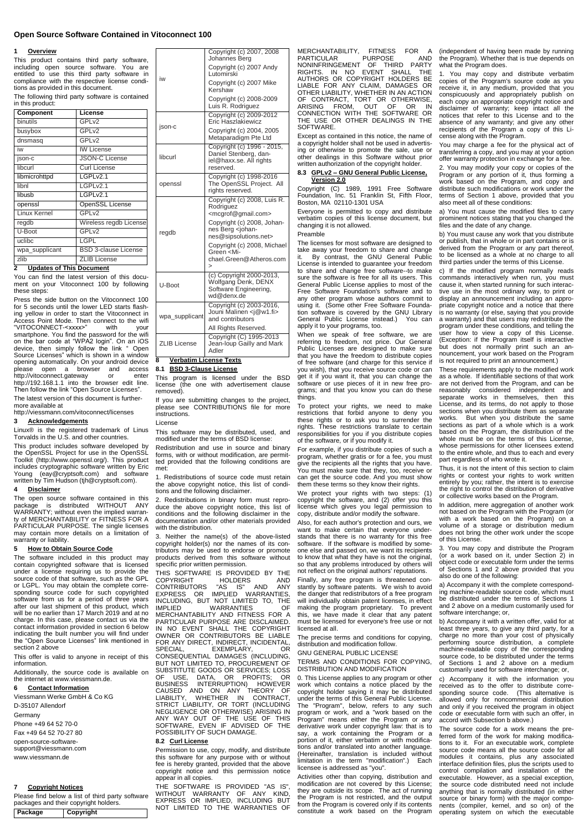## **Open Source Software Contained in Vitoconnect 100**

iw

 $U-B$ 

wpa

 $ZLIB$ 

## **1 Overview**

This product contains third party software, including open source software. You are entitled to use this third party software in compliance with the respective license conditions as provided in this document. The following third party software is contained

| in this product:             |                             |  |      |  |
|------------------------------|-----------------------------|--|------|--|
| Component                    | License                     |  |      |  |
| <b>binutils</b>              | GPL <sub>v2</sub>           |  | jsor |  |
| busybox                      | GPL <sub>v2</sub>           |  |      |  |
| dnsmasq                      | GPL <sub>v2</sub>           |  |      |  |
| iw                           | <b>IW License</b>           |  | libc |  |
| json-c                       | <b>JSON-C License</b>       |  |      |  |
| libcurl                      | Curl License                |  |      |  |
| libmicrohttpd                | LGPLv2.1                    |  | ope  |  |
| lihnl                        | LGPLv2.1                    |  |      |  |
| libusb                       | LGPLv2.1                    |  |      |  |
| openssl                      | <b>OpenSSL License</b>      |  |      |  |
| Linux Kernel                 | GPL <sub>v2</sub>           |  |      |  |
| regdb                        | Wireless regdb License      |  |      |  |
| U-Boot                       | GPL <sub>v2</sub>           |  | rego |  |
| uclibc                       | LGPL                        |  |      |  |
| wpa_supplicant               | <b>BSD 3-clause License</b> |  |      |  |
| zlib                         | <b>ZLIB License</b>         |  |      |  |
| $\overline{\phantom{a}}$<br> | - -                         |  |      |  |

## **2 Updates of This Document**

You can find the latest version of this document on your Vitoconnect 100 by following these steps:

Press the side button on the Vitoconnect 100 for 5 seconds until the lower LED starts flash-ing yellow in order to start the Vitoconnect in Access Point Mode. Then connect to the wifi "VITOCONNECT-<xxxx>" with your smartphone. You find the password for the wifi on the bar code at "WPA2 login". On an iOS device, then simply follow the link " Open Source Licenses" which is shown in a window opening automatically. On your android device please open a browser and access http://vitoconnect.gateway or enter http://192.168.1.1 into the browser edit line. Then follow the link "Open Source Licenses". The latest version of this document is furthermore available at

http://viessmann.com/vitoconnect/licenses

## **3 Acknowledgements**

Linux® is the registered trademark of Linus Torvalds in the U.S. and other countries.

This product includes software developed by the OpenSSL Project for use in the OpenSSL Toolkit (http://www.openssl.org/). This product includes cryptographic software written by Eric Young (eay@cryptsoft.com) and software written by Tim Hudson (tjh@cryptsoft.com).

## **4 Disclaimer**

The open source software contained in this<br>package is distributed WITHOUT ANY<br>WARRANTY; without even the implied warran-<br>ty of MERCHANTABILITY or FITNESS FOR A<br>PARTICULAR PURPOSE. The single licenses may contain more details on a limitation of warranty or liability.

## **5 How to Obtain Source Code**

The software included in this product may contain copyrighted software that is licensed under a license requiring us to provide the source code of that software, such as the GPL or LGPL. You may obtain the complete corresponding source code for such copyrighted software from us for a period of three years after our last shipment of this product, which will be no earlier than 17 March 2019 and at no charge. In this case, please contact us via the contact information provided in sectio[n 6](#page-0-0) below indicating the built number you will find under the "Open Source Licenses" link mentioned in section 2 above

This offer is valid to anyone in receipt of this information.

Additionally, the source code is available on the internet at www.viessmann.de.

## <span id="page-0-0"></span>**6 Contact Information**

Viessmann Werke GmbH & Co KG D-35107 Allendorf **Germany** Phone +49 64 52 70-0

Fax +49 64 52 70-27 80 open-source-software-

support@viessmann.com www.viessmann.de

## **7 Copyright Notices**

Please find below a list of third party software packages and their copyright holders. **Package Copyright**

|                  | Copyright (c) 2007, 2008<br>Johannes Berg                                                                        |  |
|------------------|------------------------------------------------------------------------------------------------------------------|--|
|                  | Copyright (c) 2007 Andy<br>Lutomirski                                                                            |  |
|                  | Copyright (c) 2007 Mike<br>Kershaw                                                                               |  |
|                  | Copyright (c) 2008-2009<br>Luis R. Rodriguez                                                                     |  |
| -C               | Copyright (c) 2009-2012<br>Eric Haszlakiewicz                                                                    |  |
|                  | Copyright (c) 2004, 2005<br>Metaparadigm Pte Ltd                                                                 |  |
| url              | Copyright (c) 1996 - 2015,<br>Daniel Stenberg, dan-<br>iel@haxx.se. All rights<br>reserved.                      |  |
| nssl             | Copyright (c) 1998-2016<br>The OpenSSL Project. All<br>rights reserved.                                          |  |
| łb               | Copyright (c) 2008, Luis R.<br>Rodriguez<br><mcgrof@gmail.com><br/>Copyright (c) 2008, Johan-</mcgrof@gmail.com> |  |
|                  | nes Berg <johan-<br>nes@sipsolutions.net&gt;</johan-<br>                                                         |  |
|                  | Copyright (c) 2008, Michael<br>Green <mi-<br>chael.Green@Atheros.com<br/><math>\geq</math></mi-<br>              |  |
| oot              | (c) Copyright 2000-2013,<br>Wolfgang Denk, DENX<br>Software Engineering,<br>wd@denx.de                           |  |
| _supplicant      | Copyright (c) 2003-2016.<br>Jouni Malinen <i@w1.fi><br/>and contributors</i@w1.fi>                               |  |
|                  | All Rights Reserved.                                                                                             |  |
| <b>B</b> License | Copyright (C) 1995-2013<br>Jean-loup Gailly and Mark<br>Adler                                                    |  |

## **8 Verbatim License Texts 8.1 BSD 3-Clause License**

This program is licensed under the BSD license (the one with advertisement clause removed).

If you are submitting changes to the project, please see CONTRIBUTIONS file for more instructions. License

## This software may be distributed, used, and

modified under the terms of BSD license: Redistribution and use in source and binary forms, with or without modification, are permitted provided that the following conditions are

met: 1. Redistributions of source code must retain the above copyright notice, this list of condi-tions and the following disclaimer.

2. Redistributions in binary form must reproduce the above copyright notice, this list of conditions and the following disclaimer in the documentation and/or other materials provided with the distribution.

3. Neither the name(s) of the above-listed copyright holder(s) nor the names of its contributors may be used to endorse or promote products derived from this software without specific prior written permission.

THIS SOFTWARE IS PROVIDED BY THE COPYRIGHT HOLDERS AND CONTRIBUTORS "AS IS" AND ANY EXPRESS OR IMPLIED WARRANTIES, INCLUDING, BUT NOT LIMITED TO, THE IMPLIED WARRANTIES OF MERCHANTABILITY AND FITNESS FOR A PARTICULAR PURPOSE ARE DISCLAIMED. IN NO EVENT SHALL THE COPYRIGHT OWNER OR CONTRIBUTORS BE LIABLE FOR ANY DIRECT, INDIRECT, INCIDENTAL,<br>SPECIAL, EXEMPLARY, OR SPECIAL, EXEMPLARY, OR CONSEQUENTIAL DAMAGES (INCLUDING, BUT NOT LIMITED TO, PROCUREMENT OF SUBSTITUTE GOODS OR SERVICES; LOSS<br>OF USE, DATA, OR PROFITS; OR<br>BUSINESS INTERRUPTION) HOWEVER<br>CAUSED AND ON ANY THEORY OF<br>LIABILITY, WHETHER IN CONTRACT,<br>STRICT LIABILITY, OR TORT (INCLUDING<br>NEGLIGENCE OR OTHERWISE) ARISI

## **8.2 Curl License**

Permission to use, copy, modify, and distribute this software for any purpose with or without fee is hereby granted, provided that the above copyright notice and this permission notice appear in all copies.

THE SOFTWARE IS PROVIDED "AS IS", WITHOUT WARRANTY OF ANY KIND,<br>EXPRESS OR IMPLIED, INCLUDING BUT<br>NOT LIMITED TO THE WARRANTIES OF MERCHANTABILITY, FITNESS FOR A PARTICULAR PURPOSE AND NONINFRINGEMENT OF THIRD PARTY RIGHTS. IN NO EVENT SHALL THE AUTHORS OR COPYRIGHT HOLDERS BE LIABLE FOR ANY CLAIM, DAMAGES OR OTHER LIABILITY, WHETHER IN AN ACTION OF CONTRACT, TORT OR OTHERWISE, ARISING FROM, OUT OF OR IN CONNECTION WITH THE SOFTWARE OR THE USE OR OTHER DEALINGS IN THE SOFTWARE.

Except as contained in this notice, the name of a copyright holder shall not be used in advertising or otherwise to promote the sale, use or other dealings in this Software without prior written authorization of the copyright holder.

## **8.3 GPLv2 – GNU General Public License, Version 2.0**

Copyright (C) 1989, 1991 Free Software Foundation, Inc. 51 Franklin St, Fifth Floor, Boston, MA 02110-1301 USA

Everyone is permitted to copy and distribute verbatim copies of this license document, but changing it is not allowed.

## Preamble

The licenses for most software are designed to take away your freedom to share and change it. By contrast, the GNU General Public License is intended to guarantee your freedom to share and change free software--to make sure the software is free for all its users. This General Public License applies to most of the Free Software Foundation's software and to any other program whose authors commit to using it. (Some other Free Software Foundation software is covered by the GNU Library General Public License instead.) You can apply it to your programs, too.

When we speak of free software, we are referring to freedom, not price. Our General<br>Public Licenses are designed to make sure<br>that you have the freedom to distribute copies of free software (and charge for this service if you wish), that you receive source code or can get it if you want it, that you can change the software or use pieces of it in new free pro-grams; and that you know you can do these things.

To protect your rights, we need to make restrictions that forbid anyone to deny you these rights or to ask you to surrender the rights. These restrictions translate to certain responsibilities for you if you distribute copies of the software, or if you modify it.

For example, if you distribute copies of such a program, whether gratis or for a fee, you must give the recipients all the rights that you have. You must make sure that they, too, receive or can get the source code. And you must show them these terms so they know their rights.

We protect your rights with two steps: (1) copyright the software, and (2) offer you this license which gives you legal permission to copy, distribute and/or modify the software.

Also, for each author's protection and ours, we want to make certain that everyone understands that there is no warranty for this free software. If the software is modified by someone else and passed on, we want its recipients to know that what they have is not the original, so that any problems introduced by others will not reflect on the original authors' reputations. Finally, any free program is threatened constantly by software patents. We wish to avoid the danger that redistributors of a free program will individually obtain patent licenses, in effect making the program proprietary. To prevent this, we have made it clear that any patent must be licensed for everyone's free use or not licensed at all.

The precise terms and conditions for copying, distribution and modification follow.

GNU GENERAL PUBLIC LICENSE

# TERMS AND CONDITIONS FOR COPYING, DISTRIBUTION AND MODIFICATION

0. This License applies to any program or other work which contains a notice placed by the copyright holder saying it may be distributed under the terms of this General Public License. The "Program", below, refers to any such program or work, and a "work based on the Program" means either the Program or any derivative work under copyright law: that is to say, a work containing the Program or a portion of it, either verbatim or with modifications and/or translated into another language. (Hereinafter, translation is included without limitation in the term "modification".) Each licensee is addressed as "you".

Activities other than copying, distribution and modification are not covered by this License; they are outside its scope. The act of running the Program is not restricted, and the output from the Program is covered only if its contents constitute a work based on the Program

(independent of having been made by running the Program). Whether that is true depends on what the Program does.

1. You may copy and distribute verbatim copies of the Program's source code as you receive it, in any medium, provided that you conspicuously and appropriately publish on each copy an appropriate copyright notice and disclaimer of warranty; keep intact all the notices that refer to this License and to the absence of any warranty; and give any other recipients of the Program a copy of this Li-cense along with the Program.

You may charge a fee for the physical act of transferring a copy, and you may at your option offer warranty protection in exchange for a fee.

2. You may modify your copy or copies of the Program or any portion of it, thus forming a work based on the Program, and copy and distribute such modifications or work under the terms of Section 1 above, provided that you also meet all of these conditions:

a) You must cause the modified files to carry prominent notices stating that you changed the files and the date of any change.

b) You must cause any work that you distribute or publish, that in whole or in part contains or is derived from the Program or any part thereof, to be licensed as a whole at no charge to all third parties under the terms of this License.

c) If the modified program normally reads commands interactively when run, you must cause it, when started running for such interactive use in the most ordinary way, to print or display an announcement including an appro-priate copyright notice and a notice that there is no warranty (or else, saying that you provide a warranty) and that users may redistribute the program under these conditions, and telling the user how to view a copy of this License.<br>(Exception: if the Program itself is interactive<br>but does not normally print such an announcement, your work based on the Program is not required to print an announcement.)

These requirements apply to the modified work as a whole. If identifiable sections of that work are not derived from the Program, and can be reasonably considered independent and separate works in themselves, then this License, and its terms, do not apply to those sections when you distribute them as separate works. But when you distribute the same sections as part of a whole which is a work based on the Program, the distribution of the whole must be on the terms of this License, whose permissions for other licensees extend to the entire whole, and thus to each and every part regardless of who wrote it.

Thus, it is not the intent of this section to claim rights or contest your rights to work written entirely by you; rather, the intent is to exercise the right to control the distribution of derivative or collective works based on the Program.

In addition, mere aggregation of another work not based on the Program with the Program (or with a work based on the Program) on a volume of a storage or distribution medium does not bring the other work under the scope of this License.

3. You may copy and distribute the Program (or a work based on it, under Section 2) in object code or executable form under the terms of Sections 1 and 2 above provided that you also do one of the following:

a) Accompany it with the complete corresponding machine-readable source code, which must be distributed under the terms of Sections 1 and 2 above on a medium customarily used for software interchange; or,

b) Accompany it with a written offer, valid for at least three years, to give any third party, for a charge no more than your cost of physically performing source distribution, a complete machine-readable copy of the corresponding source code, to be distributed under the terms of Sections 1 and 2 above on a medium customarily used for software interchange; or,

c) Accompany it with the information you received as to the offer to distribute corre-<br>sponding source code. (This alternative is<br>allowed only for noncommercial distribution and only if you received the program in object code or executable form with such an offer, in accord with Subsection b above.)

The source code for a work means the preferred form of the work for making modifica-tions to it. For an executable work, complete source code means all the source code for all modules it contains, plus any associated interface definition files, plus the scripts used to control compilation and installation of executable. However, as a special exception, the source code distributed need not include anything that is normally distributed (in either source or binary form) with the major compo-nents (compiler, kernel, and so on) of the operating system on which the executable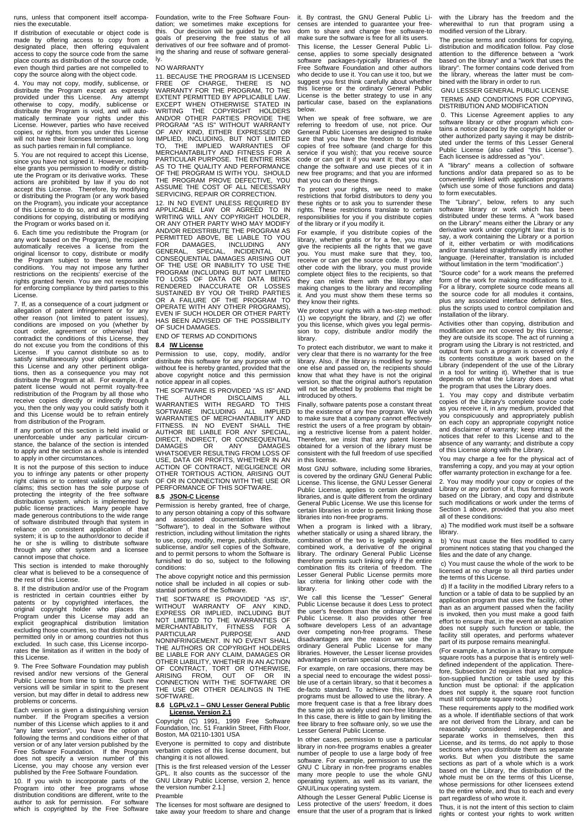runs, unless that component itself accompanies the executable.

If distribution of executable or object code is made by offering access to copy from a designated place, then offering equivalent access to copy the source code from the same place counts as distribution of the source code, even though third parties are not compelled to copy the source along with the object code.

4. You may not copy, modify, sublicense, or distribute the Program except as expressly provided under this License. Any attempt otherwise to copy, modify, sublicense or distribute the Program is void, and will automatically terminate your rights under this License. However, parties who have received copies, or rights, from you under this License will not have their licenses terminated so long as such parties remain in full compliance.

5. You are not required to accept this License, since you have not signed it. However, nothing else grants you permission to modify or distribute the Program or its derivative works. These actions are prohibited by law if you do not accept this License. Therefore, by modifying or distributing the Program (or any work based on the Program), you indicate your acceptance of this License to do so, and all its terms and conditions for copying, distributing or modifying the Program or works based on it.

6. Each time you redistribute the Program (or any work based on the Program), the recipient automatically receives a license from the original licensor to copy, distribute or modify the Program subject to these terms and conditions. You may not impose any further restrictions on the recipients' exercise of the rights granted herein. You are not responsible for enforcing compliance by third parties to this License.

7. If, as a consequence of a court judgment or allegation of patent infringement or for any<br>other reason (not limited to patent issues),<br>conditions are imposed on you (whether by<br>court order, agreement or otherwise) that<br>contradict the conditions of this License, they do not excuse you from the conditions of this<br>License. If you cannot distribute so as to License. If you cannot distribute so as to satisfy simultaneously your obligations under this License and any other pertinent obligations, then as a consequence you may not distribute the Program at all. For example, if a patent license would not permit royalty-free redistribution of the Program by all those who receive copies directly or indirectly through you, then the only way you could satisfy both it and this License would be to refrain entirely from distribution of the Program.

If any portion of this section is held invalid or unenforceable under any particular circum-stance, the balance of the section is intended to apply and the section as a whole is intended to apply in other circumstances.

It is not the purpose of this section to induce you to infringe any patents or other property right claims or to contest validity of any such claims; this section has the sole purpose of protecting the integrity of the free software distribution system, which is implemented by public license practices. Many people have made generous contributions to the wide range of software distributed through that system in<br>reliance on consistent application of that reliance on consistent application system; it is up to the author/donor to decide if he or she is willing to distribute software through any other system and a licensee cannot impose that choice.

This section is intended to make thoroughly clear what is believed to be a consequence of the rest of this License.

8. If the distribution and/or use of the Program is restricted in certain countries either by patents or by copyrighted interfaces, the original copyright holder who places the Program under this License may add an explicit geographical distribution limitation excluding those countries, so that distribution is permitted only in or among countries not thus excluded. In such case, this License incorporates the limitation as if written in the body of this License.

9. The Free Software Foundation may publish revised and/or new versions of the General Public License from time to time. Such new versions will be similar in spirit to the present version, but may differ in detail to address new problems or concerns.

Each version is given a distinguishing version number. If the Program specifies a version number of this License which applies to it and "any later version", you have the option of following the terms and conditions either of that version or of any later version published by the Free Software Foundation. If the Program does not specify a version number of this License, you may choose any version ever published by the Free Software Foundation.

10. If you wish to incorporate parts of the<br>Program into other free programs whose Program into other free programs whose distribution conditions are different, write to the author to ask for permission. For software which is copyrighted by the Free Software Foundation, write to the Free Software Foundation; we sometimes make exceptions for this. Our decision will be guided by the two goals of preserving the free status of all derivatives of our free software and of promoting the sharing and reuse of software generally.

#### NO WARRANTY

11. BECAUSE THE PROGRAM IS LICENSED FREE OF CHARGE, THERE IS NO WARRANTY FOR THE PROGRAM, TO THE EXTENT PERMITTED BY APPLICABLE LAW. EXCEPT WHEN OTHERWISE STATED IN WRITING THE COPYRIGHT HOLDERS AND/OR OTHER PARTIES PROVIDE THE PROGRAM "AS IS" WITHOUT WARRANTY OF ANY KIND, EITHER EXPRESSED OR IMPLIED, INCLUDING, BUT NOT LIMITED TO, THE IMPLIED WARRANTIES OF MERCHANTABILITY AND FITNESS FOR A PARTICULAR PURPOSE. THE ENTIRE RISK AS TO THE QUALITY AND PERFORMANCE OF THE PROGRAM IS WITH YOU. SHOULD THE PROGRAM PROVE DEFECTIVE, YOU ASSUME THE COST OF ALL NECESSARY SERVICING, REPAIR OR CORRECTION.

12. IN NO EVENT UNLESS REQUIRED BY APPLICABLE LAW OR AGREED TO IN<br>WRITING WILL ANY COPYRIGHT HOLDER,<br>OR ANY OTHER PARTY WHO MAY MODIFY<br>AND/OR REDISTRIBUTE THE PROGRAM AS PERMITTED ABOVE, BE LIABLE TO YOU FOR DAMAGES, INCLUDING ANY GENERAL, SPECIAL, INCIDENTAL OR CONSEQUENTIAL DAMAGES ARISING OUT OF THE USE OR INABILITY TO USE THE PROGRAM (INCLUDING BUT NOT LIMITED TO LOSS OF DATA OR DATA BEING RENDERED INACCURATE OR LOSSES SUSTAINED BY YOU OR THIRD PARTIES OR A FAILURE OF THE PROGRAM TO OPERATE WITH ANY OTHER PROGRAMS), EVEN IF SUCH HOLDER OR OTHER PARTY HAS BEEN ADVISED OF THE POSSIBILITY OF SUCH DAMAGES.

END OF TERMS AD CONDITIONS

**8.4 IW License** copy, modify, and/or distribute this software for any purpose with or without fee is hereby granted, provided that the above copyright notice and this permission notice appear in all copies.

THE SOFTWARE IS PROVIDED "AS IS" AND<br>THE AUTHOR DISCLAIMS ALL THE AUTHOR DISCLAIMS ALL WARRANTIES WITH REGARD TO THIS SOFTWARE INCLUDING ALL IMPLIED WARRANTIES OF MERCHANTABILITY AND FITNESS. IN NO EVENT SHALL THE AUTHOR BE LIABLE FOR ANY SPECIAL, DIRECT, INDIRECT, OR CONSEQUENTIAL DAMAGES OR ANY DAMAGES WHATSOEVER RESULTING FROM LOSS OF USE, DATA OR PROFITS, WHETHER IN AN ACTION OF CONTRACT, NEGLIGENCE OR OTHER TORTIOUS ACTION, ARISING OUT OF OR IN CONNECTION WITH THE USE OR PERFORMANCE OF THIS SOFTWARE.

## **8.5 JSON-C License**

Permission is hereby granted, free of charge, to any person obtaining a copy of this software<br>and associated documentation files (the associated documentation files (the "Software"), to deal in the Software without restriction, including without limitation the rights to use, copy, modify, merge, publish, distribute, sublicense, and/or sell copies of the Software, and to permit persons to whom the Software is furnished to do so, subject to the following conditions:

The above copyright notice and this permission notice shall be included in all copies or substantial portions of the Software.

THE SOFTWARE IS PROVIDED "AS IS", WITHOUT WARRANTY OF ANY KIND, EXPRESS OR IMPLIED, INCLUDING BUT NOT LIMITED TO THE WARRANTIES OF MERCHANTABILITY, FITNESS FOR A PARTICULAR PURPOSE AND NONINFRINGEMENT. IN NO EVENT SHALL THE AUTHORS OR COPYRIGHT HOLDERS BE LIABLE FOR ANY CLAIM, DAMAGES OR OTHER LIABILITY, WHETHER IN AN ACTION OF CONTRACT, TORT OR OTHERWISE, ARISING FROM, OUT OF OR IN CONNECTION WITH THE SOFTWARE OR THE USE OR OTHER DEALINGS IN THE SOFTWARE.

# **8.6 LGPLv2.1 – GNU Lesser General Public License, Version 2.1**

Copyright (C) 1991, 1999 Free Software Foundation, Inc. 51 Franklin Street, Fifth Floor, Boston, MA 02110-1301 USA

Everyone is permitted to copy and distribute verbatim copies of this license document, but changing it is not allowed.

[This is the first released version of the Lesser GPL. It also counts as the successor of the GNU Library Public License, version 2, hence the version number 2.1.]

## Preamble

The licenses for most software are designed to take away your freedom to share and change it. By contrast, the GNU General Public Licenses are intended to guarantee your free-dom to share and change free software-to make sure the software is free for all its users. This license, the Lesser General Public License, applies to some specially designated software packages-typically libraries-of the Software packages-typically libraries-of the<br>Free Software Foundation and other authors who decide to use it. You can use it too, but we suggest you first think carefully about whether this license or the ordinary General Public License is the better strategy to use in any particular case, based on the explanations below.

When we speak of free software, we are referring to freedom of use, not price. Our General Public Licenses are designed to make sure that you have the freedom to distribute copies of free software (and charge for this service if you wish); that you receive source code or can get it if you want it; that you can change the software and use pieces of it in new free programs; and that you are informed that you can do these things.

To protect your rights, we need to make restrictions that forbid distributors to deny you these rights or to ask you to surrender these rights. These restrictions translate to certain responsibilities for you if you distribute copies of the library or if you modify it.

For example, if you distribute copies of the library, whether gratis or for a fee, you must give the recipients all the rights that we gave you. You must make sure that they, too, receive or can get the source code. If you link other code with the library, you must provide complete object files to the recipients, so that they can relink them with the library after making changes to the library and recompiling it. And you must show them these terms so they know their rights.

We protect your rights with a two-step method: (1) we copyright the library, and (2) we offer you this license, which gives you legal permission to copy, distribute and/or modify the library.

To protect each distributor, we want to make it very clear that there is no warranty for the free library. Also, if the library is modified by someone else and passed on, the recipients should know that what they have is not the original version, so that the original author's reputation will not be affected by problems that might be introduced by others.

Finally, software patents pose a constant threat to the existence of any free program. We wish to make sure that a company cannot effectively restrict the users of a free program by obtaining a restrictive license from a patent holder. Therefore, we insist that any patent license obtained for a version of the library must be consistent with the full freedom of use specified in this license.

Most GNU software, including some libraries, is covered by the ordinary GNU General Public License. This license, the GNU Lesser General Public License, applies to certain designated libraries, and is quite different from the ordinary General Public License. We use this license for certain libraries in order to permit linking those libraries into non-free programs.

When a program is linked with a library, whether statically or using a shared library, the combination of the two is legally speaking a combined work, a derivative of the original library. The ordinary General Public License therefore permits such linking only if the entire combination fits its criteria of freedom. The Lesser General Public License permits more lax criteria for linking other code with the library.

We call this license the "Lesser" General Public License because it does Less to protect the user's freedom than the ordinary General Public License. It also provides other free software developers Less of an advantage<br>over competing non-free programs. These competing non-free programs. disadvantages are the reason we use the ordinary General Public License for many libraries. However, the Lesser license provides advantages in certain special circumstances.

For example, on rare occasions, there may be a special need to encourage the widest possi-ble use of a certain library, so that it becomes a de-facto standard. To achieve this, non-free programs must be allowed to use the library. A more frequent case is that a free library does the same job as widely used non-free libraries. In this case, there is little to gain by limiting the free library to free software only, so we use the Lesser General Public License.

In other cases, permission to use a particular library in non-free programs enables a greater number of people to use a large body of free software. For example, permission to use the GNU C Library in non-free programs enables many more people to use the whole GNU operating system, as well as its variant, the GNU/Linux operating system.

Although the Lesser General Public License is Less protective of the users' freedom, it does ensure that the user of a program that is linked with the Library has the freedom and the wherewithal to run that program using a modified version of the Library.

The precise terms and conditions for copying, distribution and modification follow. Pay close attention to the difference between a "work based on the library" and a "work that uses the library". The former contains code derived from the library, whereas the latter must be combined with the library in order to run.

GNU LESSER GENERAL PUBLIC LICENSE TERMS AND CONDITIONS FOR COPYING, DISTRIBUTION AND MODIFICATION

0. This License Agreement applies to any software library or other program which con-tains a notice placed by the copyright holder or other authorized party saying it may be distributed under the terms of this Lesser General Public License (also called "this License"). Each licensee is addressed as "you".

A "library" means a collection of software functions and/or data prepared so as to be conveniently linked with application programs (which use some of those functions and data) to form executables.

The "Library", below, refers to any such software library or work which has been distributed under these terms. A "work based on the Library" means either the Library or any derivative work under copyright law: that is to say, a work containing the Library or a portion of it, either verbatim or with modifications and/or translated straightforwardly into another language. (Hereinafter, translation is included without limitation in the term "modification".)

"Source code" for a work means the preferred form of the work for making modifications to it. For a library, complete source code means all the source code for all modules it contains, plus any associated interface definition files, plus the scripts used to control compilation and installation of the library.

Activities other than copying, distribution and modification are not covered by this License; they are outside its scope. The act of running a program using the Library is not restricted, and output from such a program is covered only if its contents constitute a work based on the Library (independent of the use of the Library in a tool for writing it). Whether that is true depends on what the Library does and what the program that uses the Library does.

1. You may copy and distribute verbatim copies of the Library's complete source code as you receive it, in any medium, provided that you conspicuously and appropriately publish on each copy an appropriate copyright notice and disclaimer of warranty; keep intact all the notices that refer to this License and to the absence of any warranty; and distribute a copy of this License along with the Library.

You may charge a fee for the physical act of transferring a copy, and you may at your option offer warranty protection in exchange for a fee.

2. You may modify your copy or copies of the Library or any portion of it, thus forming a work based on the Library, and copy and distribute such modifications or work under the terms of Section 1 above, provided that you also meet all of these conditions:

a) The modified work must itself be a software library.

b) You must cause the files modified to carry prominent notices stating that you changed the files and the date of any change.

c) You must cause the whole of the work to be  $\rho$  censed at no charge to all third parties under the terms of this License.

d) If a facility in the modified Library refers to a function or a table of data to be supplied by an application program that uses the facility, other than as an argument passed when the facility is invoked, then you must make a good faith effort to ensure that, in the event an application does not supply such function or table, the facility still operates, and performs whatever part of its purpose remains meaningful.

(For example, a function in a library to compute square roots has a purpose that is entirely well-defined independent of the application. Therefore, Subsection 2d requires that any application-supplied function or table used by this function must be optional: if the application does not supply it, the square root function must still compute square roots.)

These requirements apply to the modified work as a whole. If identifiable sections of that work are not derived from the Library, and can be reasonably considered independent and separate works in themselves, then this License, and its terms, do not apply to those sections when you distribute them as separate works. But when you distribute the same sections as part of a whole which is a work based on the Library, the distribution of the whole must be on the terms of this License, whose permissions for other licensees extend to the entire whole, and thus to each and every part regardless of who wrote it.

Thus, it is not the intent of this section to claim rights or contest your rights to work written